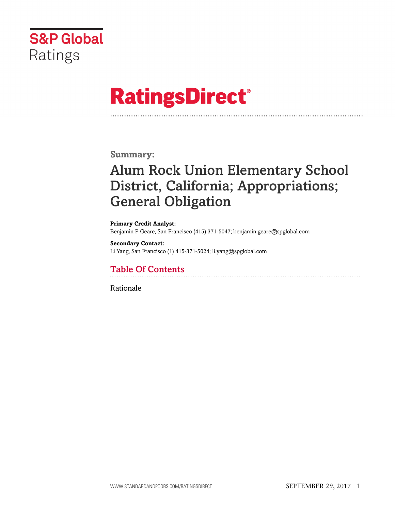

# **RatingsDirect®**

### **Summary:**

# Alum Rock Union Elementary School District, California; Appropriations; General Obligation

**Primary Credit Analyst:** Benjamin P Geare, San Francisco (415) 371-5047; benjamin.geare@spglobal.com

**Secondary Contact:** Li Yang, San Francisco (1) 415-371-5024; li.yang@spglobal.com

# Table Of Contents

[Rationale](#page-1-0)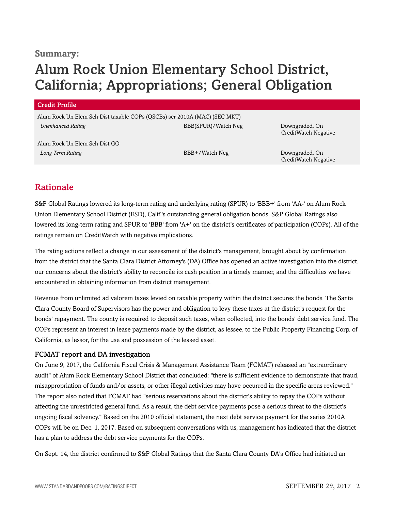### **Summary:**

# Alum Rock Union Elementary School District, California; Appropriations; General Obligation

#### Credit Profile

Alum Rock Un Elem Sch Dist taxable COPs (QSCBs) ser 2010A (MAC) (SEC MKT) *Unenhanced Rating* BBB(SPUR)/Watch Neg Downgraded, On

Alum Rock Un Elem Sch Dist GO **Long Term Rating Community Community Community Community BBB+/Watch Neg Downgraded, On Downgraded, On Downgraded, On Downgraded, On Downgraded, On Downgraded, On Downgraded, On Downgraded, On Downgraded, On Downgraded, On** 

CreditWatch Negative

CreditWatch Negative

## <span id="page-1-0"></span>Rationale

S&P Global Ratings lowered its long-term rating and underlying rating (SPUR) to 'BBB+' from 'AA-' on Alum Rock Union Elementary School District (ESD), Calif.'s outstanding general obligation bonds. S&P Global Ratings also lowered its long-term rating and SPUR to 'BBB' from 'A+' on the district's certificates of participation (COPs). All of the ratings remain on CreditWatch with negative implications.

The rating actions reflect a change in our assessment of the district's management, brought about by confirmation from the district that the Santa Clara District Attorney's (DA) Office has opened an active investigation into the district, our concerns about the district's ability to reconcile its cash position in a timely manner, and the difficulties we have encountered in obtaining information from district management.

Revenue from unlimited ad valorem taxes levied on taxable property within the district secures the bonds. The Santa Clara County Board of Supervisors has the power and obligation to levy these taxes at the district's request for the bonds' repayment. The county is required to deposit such taxes, when collected, into the bonds' debt service fund. The COPs represent an interest in lease payments made by the district, as lessee, to the Public Property Financing Corp. of California, as lessor, for the use and possession of the leased asset.

#### FCMAT report and DA investigation

On June 9, 2017, the California Fiscal Crisis & Management Assistance Team (FCMAT) released an "extraordinary audit" of Alum Rock Elementary School District that concluded: "there is sufficient evidence to demonstrate that fraud, misappropriation of funds and/or assets, or other illegal activities may have occurred in the specific areas reviewed." The report also noted that FCMAT had "serious reservations about the district's ability to repay the COPs without affecting the unrestricted general fund. As a result, the debt service payments pose a serious threat to the district's ongoing fiscal solvency." Based on the 2010 official statement, the next debt service payment for the series 2010A COPs will be on Dec. 1, 2017. Based on subsequent conversations with us, management has indicated that the district has a plan to address the debt service payments for the COPs.

On Sept. 14, the district confirmed to S&P Global Ratings that the Santa Clara County DA's Office had initiated an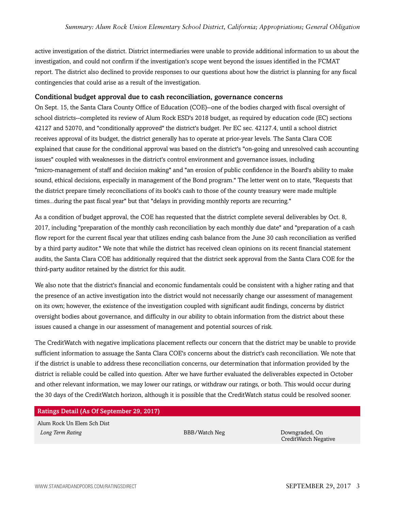active investigation of the district. District intermediaries were unable to provide additional information to us about the investigation, and could not confirm if the investigation's scope went beyond the issues identified in the FCMAT report. The district also declined to provide responses to our questions about how the district is planning for any fiscal contingencies that could arise as a result of the investigation.

#### Conditional budget approval due to cash reconciliation, governance concerns

On Sept. 15, the Santa Clara County Office of Education (COE)--one of the bodies charged with fiscal oversight of school districts--completed its review of Alum Rock ESD's 2018 budget, as required by education code (EC) sections 42127 and 52070, and "conditionally approved" the district's budget. Per EC sec. 42127.4, until a school district receives approval of its budget, the district generally has to operate at prior-year levels. The Santa Clara COE explained that cause for the conditional approval was based on the district's "on-going and unresolved cash accounting issues" coupled with weaknesses in the district's control environment and governance issues, including "micro-management of staff and decision making" and "an erosion of public confidence in the Board's ability to make sound, ethical decisions, especially in management of the Bond program." The letter went on to state, "Requests that the district prepare timely reconciliations of its book's cash to those of the county treasury were made multiple times...during the past fiscal year" but that "delays in providing monthly reports are recurring."

As a condition of budget approval, the COE has requested that the district complete several deliverables by Oct. 8, 2017, including "preparation of the monthly cash reconciliation by each monthly due date" and "preparation of a cash flow report for the current fiscal year that utilizes ending cash balance from the June 30 cash reconciliation as verified by a third party auditor." We note that while the district has received clean opinions on its recent financial statement audits, the Santa Clara COE has additionally required that the district seek approval from the Santa Clara COE for the third-party auditor retained by the district for this audit.

We also note that the district's financial and economic fundamentals could be consistent with a higher rating and that the presence of an active investigation into the district would not necessarily change our assessment of management on its own; however, the existence of the investigation coupled with significant audit findings, concerns by district oversight bodies about governance, and difficulty in our ability to obtain information from the district about these issues caused a change in our assessment of management and potential sources of risk.

The CreditWatch with negative implications placement reflects our concern that the district may be unable to provide sufficient information to assuage the Santa Clara COE's concerns about the district's cash reconciliation. We note that if the district is unable to address these reconciliation concerns, our determination that information provided by the district is reliable could be called into question. After we have further evaluated the deliverables expected in October and other relevant information, we may lower our ratings, or withdraw our ratings, or both. This would occur during the 30 days of the CreditWatch horizon, although it is possible that the CreditWatch status could be resolved sooner.

#### Ratings Detail (As Of September 29, 2017)

Alum Rock Un Elem Sch Dist **Long Term Rating Community Community Community BBB/Watch Neg Downgraded, On Downgraded, On Downgraded, On Downgraded, On Downgraded, On Downgraded, On Downgraded, On Downgraded, On Downgraded, On Downgraded, On Downgraded** 

CreditWatch Negative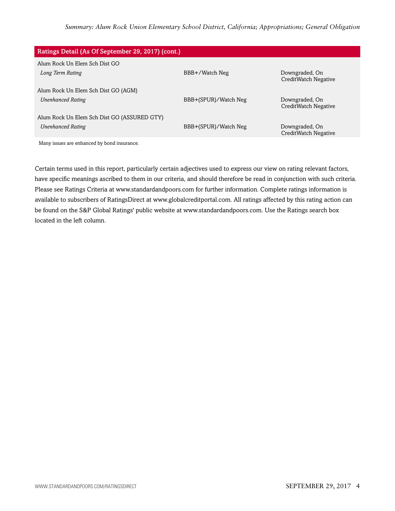| Ratings Detail (As Of September 29, 2017) (cont.) |                      |                                        |
|---------------------------------------------------|----------------------|----------------------------------------|
| Alum Rock Un Elem Sch Dist GO                     |                      |                                        |
| Long Term Rating                                  | BBB+/Watch Neg       | Downgraded, On<br>CreditWatch Negative |
| Alum Rock Un Elem Sch Dist GO (AGM)               |                      |                                        |
| <b>Unenhanced Rating</b>                          | BBB+(SPUR)/Watch Neg | Downgraded, On<br>CreditWatch Negative |
| Alum Rock Un Elem Sch Dist GO (ASSURED GTY)       |                      |                                        |
| <b>Unenhanced Rating</b>                          | BBB+(SPUR)/Watch Neg | Downgraded, On<br>CreditWatch Negative |
| Many issues are enhanced by bond insurance.       |                      |                                        |

Certain terms used in this report, particularly certain adjectives used to express our view on rating relevant factors, have specific meanings ascribed to them in our criteria, and should therefore be read in conjunction with such criteria. Please see Ratings Criteria at www.standardandpoors.com for further information. Complete ratings information is available to subscribers of RatingsDirect at www.globalcreditportal.com. All ratings affected by this rating action can be found on the S&P Global Ratings' public website at www.standardandpoors.com. Use the Ratings search box located in the left column.